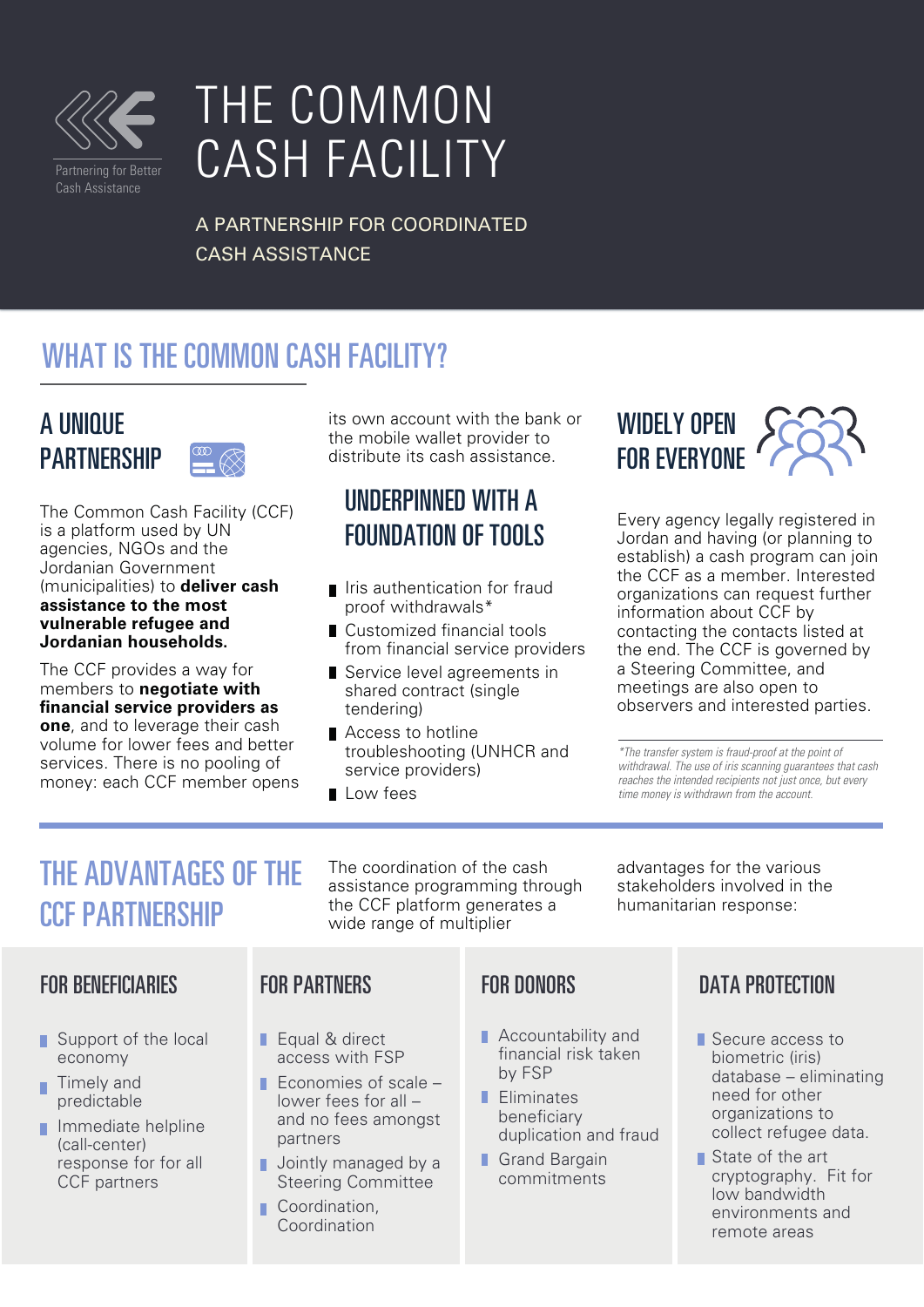

# THE COMMON CASH FACILITY

A PARTNERSHIP FOR COORDINATED CASH ASSISTANCE

## WHAT IS THE COMMON CASH FACILITY?

### A UNIQUE **PARTNERSHIP**

The Common Cash Facility (CCF) is a platform used by UN agencies, NGOs and the Jordanian Government (municipalities) to **deliver cash assistance to the most vulnerable refugee and Jordanian households.** 

The CCF provides a way for members to **negotiate with nancial service providers as one**, and to leverage their cash volume for lower fees and better services. There is no pooling of money: each CCF member opens its own account with the bank or the mobile wallet provider to distribute its cash assistance.

### UNDERPINNED WITH A FOUNDATION OF TOOLS

- I Iris authentication for fraud proof withdrawals\*
- $\blacksquare$  Customized financial tools from financial service providers
- Service level agreements in shared contract (single tendering)
- Access to hotline troubleshooting (UNHCR and service providers)
- **L** Low fees

FOR PARTNERS

Equal & direct access with FSP  $\blacksquare$  Economies of scale – lower fees for all – and no fees amongst

partners

П

Coordination, Coordination

Jointly managed by a Steering Committee

## WIDELY OPEN FOR EVERYONE

Every agency legally registered in Jordan and having (or planning to establish) a cash program can join the CCF as a member. Interested organizations can request further information about CCF by contacting the contacts listed at the end. The CCF is governed by a Steering Committee, and meetings are also open to observers and interested parties.

*\*The transfer system is fraud-proof at the point of withdrawal. The use of iris scanning guarantees that cash reaches the intended recipients not just once, but every time money is withdrawn from the account.*

advantages for the various stakeholders involved in the humanitarian response:

## THE ADVANTAGES OF THE CCF PARTNERSHIP

#### FOR BENEFICIARIES

- Support of the local economy
- Timely and predictable
- **Immediate helpline** (call-center) response for for all CCF partners

#### assistance programming through the CCF platform generates a wide range of multiplier

The coordination of the cash

### FOR DONORS

- **Accountability and** financial risk taken by FSP
- **Fliminates** beneficiary duplication and fraud
- Grand Bargain commitments

### DATA PROTECTION

- Secure access to biometric (iris) database – eliminating need for other organizations to collect refugee data.
- State of the art cryptography. Fit for low bandwidth environments and remote areas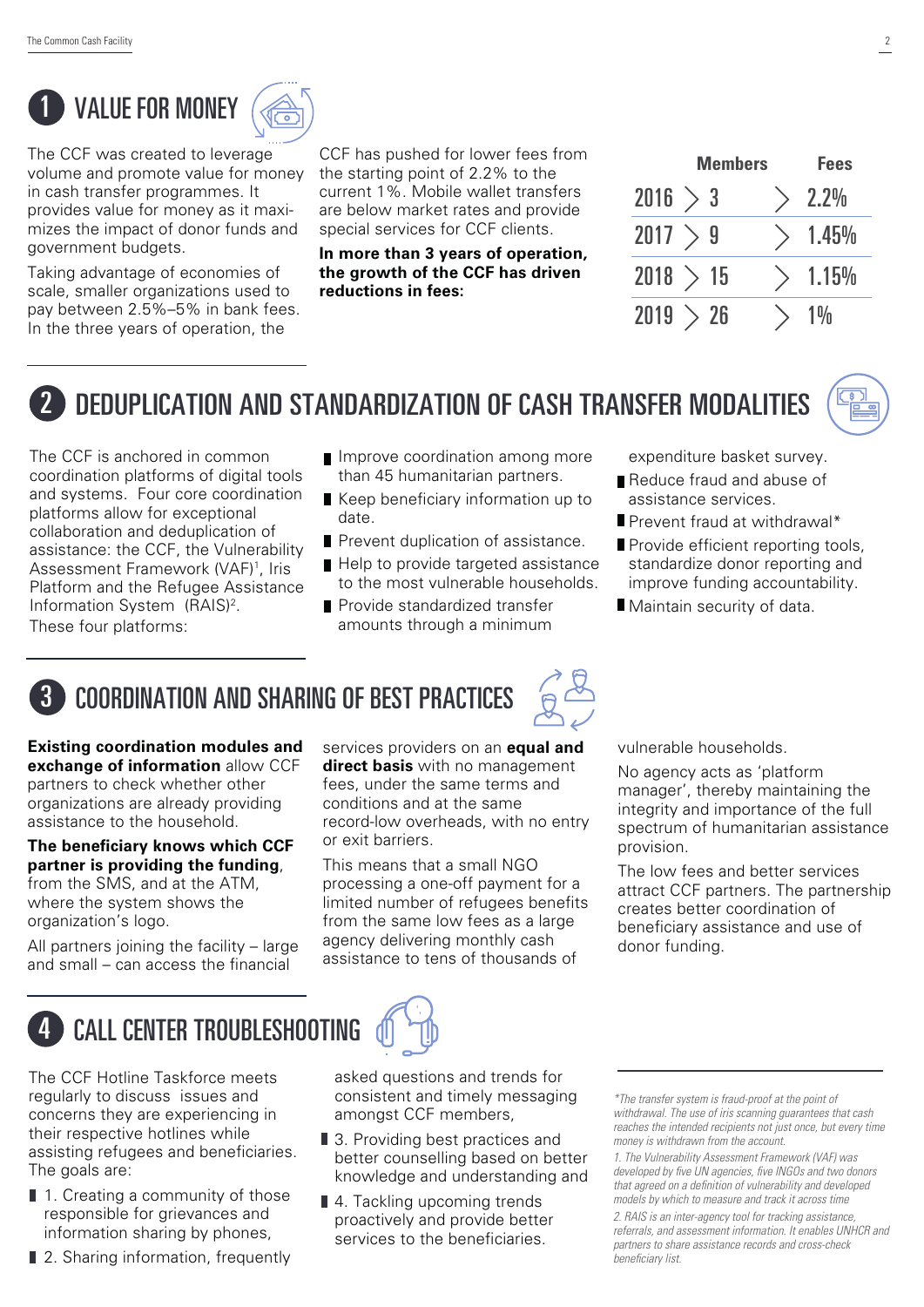# **VALUE FOR MONEY**



The CCF was created to leverage volume and promote value for money in cash transfer programmes. It provides value for money as it maximizes the impact of donor funds and government budgets.

Taking advantage of economies of scale, smaller organizations used to pay between 2.5%–5% in bank fees. In the three years of operation, the

**Members Fees** CCF has pushed for lower fees from the starting point of 2.2% to the current 1%. Mobile wallet transfers are below market rates and provide special services for CCF clients.

**In more than 3 years of operation, the growth of the CCF has driven reductions in fees:**

| <b>Members</b> |  | Fees  |
|----------------|--|-------|
| 2016<br>> 3    |  | 2.2%  |
| 2017<br>9      |  | 1.45% |
| 2018 > 15      |  | 1.15% |
| 2019<br>-26    |  |       |

## 2 DEDUPLICATION AND STANDARDIZATION OF CASH TRANSFER MODALITIES

The CCF is anchored in common coordination platforms of digital tools and systems. Four core coordination platforms allow for exceptional collaboration and deduplication of assistance: the CCF, the Vulnerability Assessment Framework (VAF)<sup>1</sup>, Iris Platform and the Refugee Assistance Information System (RAIS)<sup>2</sup>. These four platforms:

- **I** Improve coordination among more than 45 humanitarian partners.
- Keep beneficiary information up to date.
- **Prevent duplication of assistance.**
- Help to provide targeted assistance to the most vulnerable households.
- **Provide standardized transfer** amounts through a minimum

expenditure basket survey.

- Reduce fraud and abuse of assistance services.
- **Prevent fraud at withdrawal\***
- Provide efficient reporting tools, standardize donor reporting and improve funding accountability.
- Maintain security of data.



## 3 COORDINATION AND SHARING OF BEST PRACTICES



**Existing coordination modules and exchange of information** allow CCF partners to check whether other organizations are already providing assistance to the household.

**The beneficiary knows which CCF partner is providing the funding**, from the SMS, and at the ATM, where the system shows the organization's logo.

All partners joining the facility – large and small  $-$  can access the financial

services providers on an **equal and direct basis** with no management fees, under the same terms and conditions and at the same record-low overheads, with no entry or exit barriers.

This means that a small NGO processing a one-off payment for a limited number of refugees benefits from the same low fees as a large agency delivering monthly cash assistance to tens of thousands of

vulnerable households.

No agency acts as 'platform manager', thereby maintaining the integrity and importance of the full spectrum of humanitarian assistance provision.

The low fees and better services attract CCF partners. The partnership creates better coordination of beneficiary assistance and use of donor funding.



## CALL CENTER TROUBLESHOOTING

The CCF Hotline Taskforce meets regularly to discuss issues and concerns they are experiencing in their respective hotlines while assisting refugees and beneficiaries. The goals are:

- 1. Creating a community of those responsible for grievances and information sharing by phones,
- 2. Sharing information, frequently

asked questions and trends for consistent and timely messaging amongst CCF members,

- 3. Providing best practices and better counselling based on better knowledge and understanding and
- 4. Tackling upcoming trends proactively and provide better services to the beneficiaries.

*\*The transfer system is fraud-proof at the point of withdrawal. The use of iris scanning guarantees that cash reaches the intended recipients not just once, but every time money is withdrawn from the account.*

*<sup>1.</sup> The Vulnerability Assessment Framework (VAF) was*  developed by five UN agencies, five INGOs and two donors that agreed on a definition of vulnerability and developed *models by which to measure and track it across time 2. RAIS is an inter-agency tool for tracking assistance, referrals, and assessment information. It enables UNHCR and partners to share assistance records and cross-check beneficiary list.*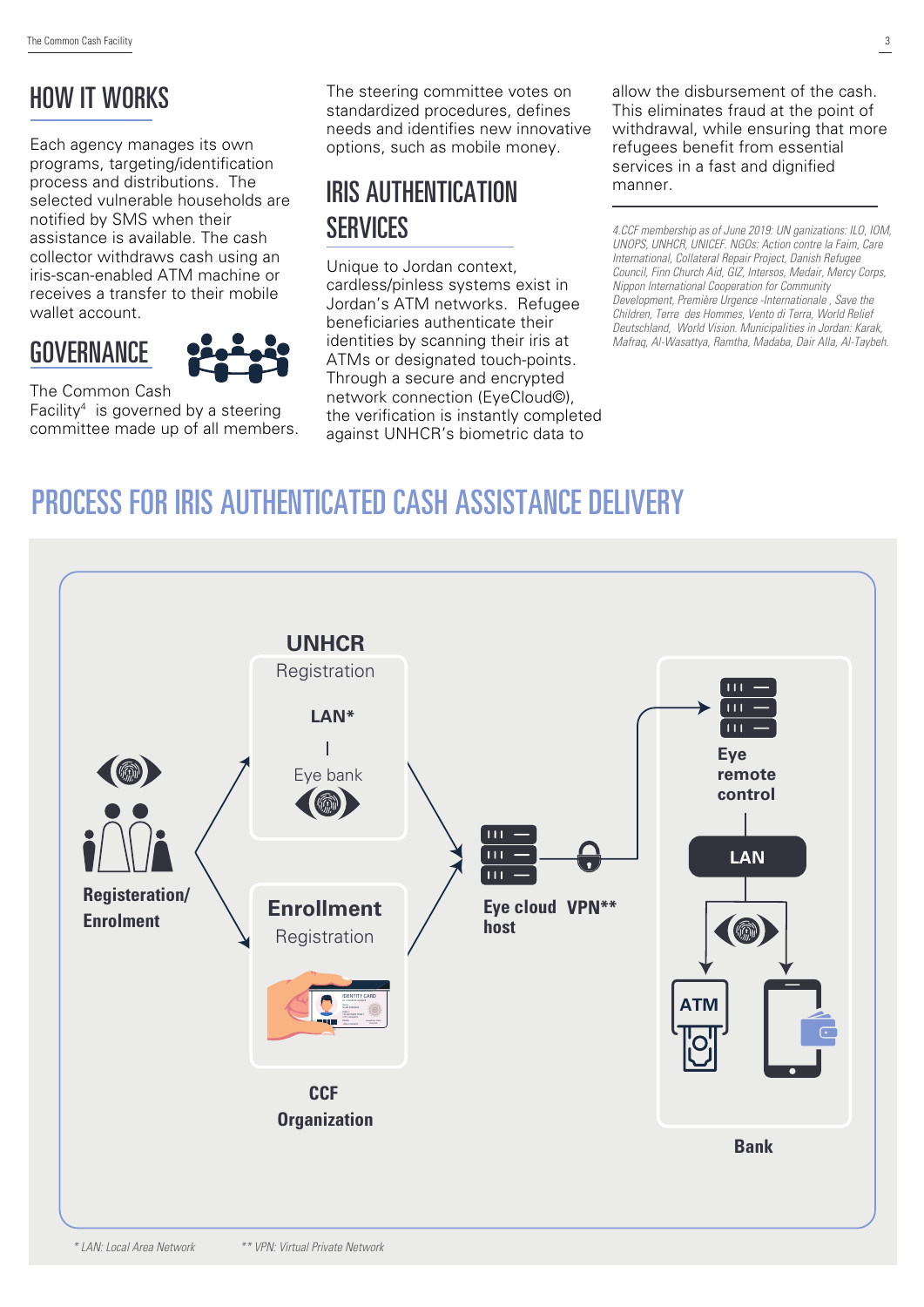### HOW IT WORKS

Each agency manages its own programs, targeting/identification process and distributions. The selected vulnerable households are notified by SMS when their assistance is available. The cash collector withdraws cash using an iris-scan-enabled ATM machine or receives a transfer to their mobile wallet account.

### **GOVERNANCE**



The Common Cash Facility4 is governed by a steering committee made up of all members. The steering committee votes on standardized procedures, defines needs and identifies new innovative options, such as mobile money.

### IRIS AUTHENTICATION **SERVICES**

Unique to Jordan context, cardless/pinless systems exist in Jordan's ATM networks. Refugee beneficiaries authenticate their identities by scanning their iris at ATMs or designated touch-points. Through a secure and encrypted network connection (EyeCloud©), the verification is instantly completed against UNHCR's biometric data to

allow the disbursement of the cash. This eliminates fraud at the point of withdrawal, while ensuring that more refugees benefit from essential services in a fast and dignified manner.

*4.CCF membership as of June 2019: UN ganizations: ILO, IOM, UNOPS, UNHCR, UNICEF. NGOs: Action contre la Faim, Care International, Collateral Repair Project, Danish Refugee Council, Finn Church Aid, GIZ, Intersos, Medair, Mercy Corps, Nippon International Cooperation for Community Development, Première Urgence -Internationale , Save the Children, Terre des Hommes, Vento di Terra, World Relief Deutschland, World Vision. Municipalities in Jordan: Karak, Mafraq, Al-Wasattya, Ramtha, Madaba, Dair Alla, Al-Taybeh.*

## PROCESS FOR IRIS AUTHENTICATED CASH ASSISTANCE DELIVERY